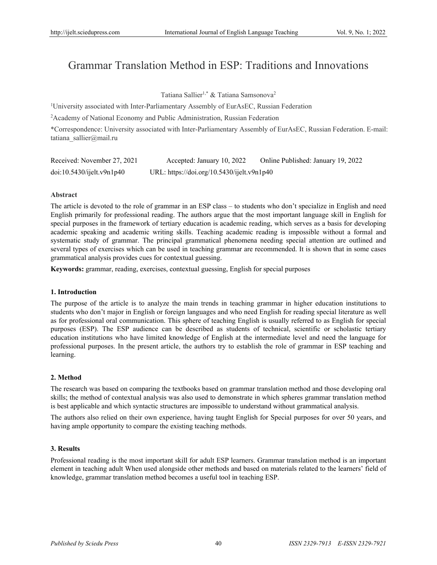# Grammar Translation Method in ESP: Traditions and Innovations

Tatiana Sallier<sup>1,\*</sup> & Tatiana Samsonova<sup>2</sup>

<sup>1</sup>University associated with Inter-Parliamentary Assembly of EurAsEC, Russian Federation

2 Academy of National Economy and Public Administration, Russian Federation

\*Correspondence: University associated with Inter-Parliamentary Assembly of EurAsEC, Russian Federation. E-mail: tatiana\_sallier@mail.ru

| Received: November 27, 2021 | Accepted: January 10, 2022                 | Online Published: January 19, 2022 |
|-----------------------------|--------------------------------------------|------------------------------------|
| doi:10.5430/ijelt.v9n1p40   | URL: https://doi.org/10.5430/ijelt.v9n1p40 |                                    |

## **Abstract**

The article is devoted to the role of grammar in an ESP class – to students who don't specialize in English and need English primarily for professional reading. The authors argue that the most important language skill in English for special purposes in the framework of tertiary education is academic reading, which serves as a basis for developing academic speaking and academic writing skills. Teaching academic reading is impossible without a formal and systematic study of grammar. The principal grammatical phenomena needing special attention are outlined and several types of exercises which can be used in teaching grammar are recommended. It is shown that in some cases grammatical analysis provides cues for contextual guessing.

**Keywords:** grammar, reading, exercises, contextual guessing, English for special purposes

## **1. Introduction**

The purpose of the article is to analyze the main trends in teaching grammar in higher education institutions to students who don't major in English or foreign languages and who need English for reading special literature as well as for professional oral communication. This sphere of teaching English is usually referred to as English for special purposes (ESP). The ESP audience can be described as students of technical, scientific or scholastic tertiary education institutions who have limited knowledge of English at the intermediate level and need the language for professional purposes. In the present article, the authors try to establish the role of grammar in ESP teaching and learning.

## **2. Method**

The research was based on comparing the textbooks based on grammar translation method and those developing oral skills; the method of contextual analysis was also used to demonstrate in which spheres grammar translation method is best applicable and which syntactic structures are impossible to understand without grammatical analysis.

The authors also relied on their own experience, having taught English for Special purposes for over 50 years, and having ample opportunity to compare the existing teaching methods.

## **3. Results**

Professional reading is the most important skill for adult ESP learners. Grammar translation method is an important element in teaching adult When used alongside other methods and based on materials related to the learners' field of knowledge, grammar translation method becomes a useful tool in teaching ESP.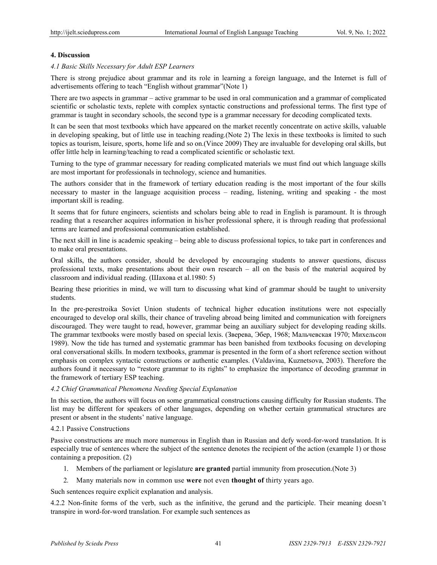## **4. Discussion**

*4.1 Basic Skills Necessary for Adult ESP Learners* 

There is strong prejudice about grammar and its role in learning a foreign language, and the Internet is full of advertisements offering to teach "English without grammar"(Note 1)

There are two aspects in grammar – active grammar to be used in oral communication and a grammar of complicated scientific or scholastic texts, replete with complex syntactic constructions and professional terms. The first type of grammar is taught in secondary schools, the second type is a grammar necessary for decoding complicated texts.

It can be seen that most textbooks which have appeared on the market recently concentrate on active skills, valuable in developing speaking, but of little use in teaching reading.(Note 2) The lexis in these textbooks is limited to such topics as tourism, leisure, sports, home life and so on.(Vince 2009) They are invaluable for developing oral skills, but offer little help in learning/teaching to read a complicated scientific or scholastic text.

Turning to the type of grammar necessary for reading complicated materials we must find out which language skills are most important for professionals in technology, science and humanities.

The authors consider that in the framework of tertiary education reading is the most important of the four skills necessary to master in the language acquisition process – reading, listening, writing and speaking - the most important skill is reading.

It seems that for future engineers, scientists and scholars being able to read in English is paramount. It is through reading that a researcher acquires information in his/her professional sphere, it is through reading that professional terms are learned and professional communication established.

The next skill in line is academic speaking – being able to discuss professional topics, to take part in conferences and to make oral presentations.

Oral skills, the authors consider, should be developed by encouraging students to answer questions, discuss professional texts, make presentations about their own research – all on the basis of the material acquired by classroom and individual reading. (Шахова et al.1980: 5)

Bearing these priorities in mind, we will turn to discussing what kind of grammar should be taught to university students.

In the pre-perestroika Soviet Union students of technical higher education institutions were not especially encouraged to develop oral skills, their chance of traveling abroad being limited and communication with foreigners discouraged. They were taught to read, however, grammar being an auxiliary subject for developing reading skills. The grammar textbooks were mostly based on special lexis. (Зверева, Эбер, 1968; Мальчевская 1970; Михельсон 1989). Now the tide has turned and systematic grammar has been banished from textbooks focusing on developing oral conversational skills. In modern textbooks, grammar is presented in the form of a short reference section without emphasis on complex syntactic constructions or authentic examples. (Valdavina, Kuznetsova, 2003). Therefore the authors found it necessary to "restore grammar to its rights" to emphasize the importance of decoding grammar in the framework of tertiary ESP teaching.

## *4.2 Chief Grammatical Phenomena Needing Special Explanation*

In this section, the authors will focus on some grammatical constructions causing difficulty for Russian students. The list may be different for speakers of other languages, depending on whether certain grammatical structures are present or absent in the students' native language.

## 4.2.1 Passive Constructions

Passive constructions are much more numerous in English than in Russian and defy word-for-word translation. It is especially true of sentences where the subject of the sentence denotes the recipient of the action (example 1) or those containing a preposition. (2)

- 1. Members of the parliament or legislature **are granted** partial immunity from prosecution.(Note 3)
- 2. Many materials now in common use **were** not even **thought of** thirty years ago.

Such sentences require explicit explanation and analysis.

4.2.2 Non-finite forms of the verb, such as the infinitive, the gerund and the participle. Their meaning doesn't transpire in word-for-word translation. For example such sentences as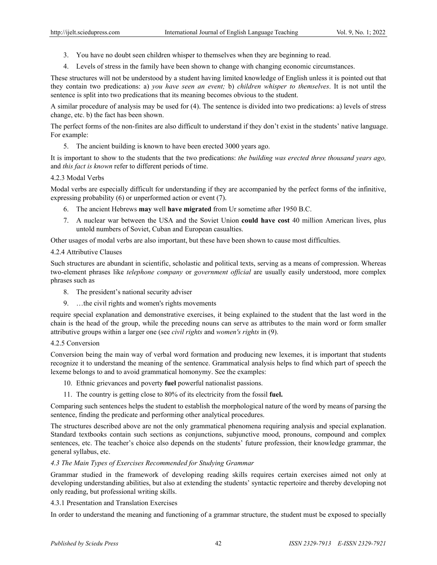- 3. You have no doubt seen children whisper to themselves when they are beginning to read.
- 4. Levels of stress in the family have been shown to change with changing economic circumstances.

These structures will not be understood by a student having limited knowledge of English unless it is pointed out that they contain two predications: a) *you have seen an event;* b) *children whisper to themselves*. It is not until the sentence is split into two predications that its meaning becomes obvious to the student.

A similar procedure of analysis may be used for (4). The sentence is divided into two predications: a) levels of stress change, etc. b) the fact has been shown.

The perfect forms of the non-finites are also difficult to understand if they don't exist in the students' native language. For example:

5. The ancient building is known to have been erected 3000 years ago.

It is important to show to the students that the two predications: *the building was erected three thousand years ago,* and *this fact is known* refer to different periods of time.

## 4.2.3 Modal Verbs

Modal verbs are especially difficult for understanding if they are accompanied by the perfect forms of the infinitive, expressing probability (6) or unperformed action or event (7).

- 6. The ancient Hebrews **may** well **have migrated** from Ur sometime after 1950 B.C.
- 7. A nuclear war between the USA and the Soviet Union **could have cost** 40 million American lives, plus untold numbers of Soviet, Cuban and European casualties.

Other usages of modal verbs are also important, but these have been shown to cause most difficulties.

## 4.2.4 Attributive Clauses

Such structures are abundant in scientific, scholastic and political texts, serving as a means of compression. Whereas two-element phrases like *telephone company* or *government official* are usually easily understood, more complex phrases such as

- 8. The president's national security adviser
- 9. …the civil rights and women's rights movements

require special explanation and demonstrative exercises, it being explained to the student that the last word in the chain is the head of the group, while the preceding nouns can serve as attributes to the main word or form smaller attributive groups within a larger one (see *civil rights* and *women's rights* in (9).

## 4.2.5 Conversion

Conversion being the main way of verbal word formation and producing new lexemes, it is important that students recognize it to understand the meaning of the sentence. Grammatical analysis helps to find which part of speech the lexeme belongs to and to avoid grammatical homonymy. See the examples:

- 10. Ethnic grievances and poverty **fuel** powerful nationalist passions.
- 11. The country is getting close to 80% of its electricity from the fossil **fuel.**

Comparing such sentences helps the student to establish the morphological nature of the word by means of parsing the sentence, finding the predicate and performing other analytical procedures.

The structures described above are not the only grammatical phenomena requiring analysis and special explanation. Standard textbooks contain such sections as conjunctions, subjunctive mood, pronouns, compound and complex sentences, etc. The teacher's choice also depends on the students' future profession, their knowledge grammar, the general syllabus, etc.

## *4.3 The Main Types of Exercises Recommended for Studying Grammar*

Grammar studied in the framework of developing reading skills requires certain exercises aimed not only at developing understanding abilities, but also at extending the students' syntactic repertoire and thereby developing not only reading, but professional writing skills.

## 4.3.1 Presentation and Translation Exercises

In order to understand the meaning and functioning of a grammar structure, the student must be exposed to specially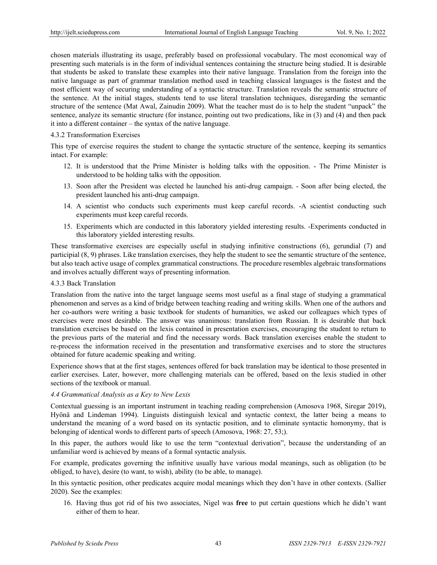chosen materials illustrating its usage, preferably based on professional vocabulary. The most economical way of presenting such materials is in the form of individual sentences containing the structure being studied. It is desirable that students be asked to translate these examples into their native language. Translation from the foreign into the native language as part of grammar translation method used in teaching classical languages is the fastest and the most efficient way of securing understanding of a syntactic structure. Translation reveals the semantic structure of the sentence. At the initial stages, students tend to use literal translation techniques, disregarding the semantic structure of the sentence (Mat Awal, Zainudin 2009). What the teacher must do is to help the student "unpack" the sentence, analyze its semantic structure (for instance, pointing out two predications, like in (3) and (4) and then pack it into a different container – the syntax of the native language.

## 4.3.2 Transformation Exercises

This type of exercise requires the student to change the syntactic structure of the sentence, keeping its semantics intact. For example:

- 12. It is understood that the Prime Minister is holding talks with the opposition. The Prime Minister is understood to be holding talks with the opposition.
- 13. Soon after the President was elected he launched his anti-drug campaign. Soon after being elected, the president launched his anti-drug campaign.
- 14. A scientist who conducts such experiments must keep careful records. -A scientist conducting such experiments must keep careful records.
- 15. Experiments which are conducted in this laboratory yielded interesting results. -Experiments conducted in this laboratory yielded interesting results.

These transformative exercises are especially useful in studying infinitive constructions (6), gerundial (7) and participial (8, 9) phrases. Like translation exercises, they help the student to see the semantic structure of the sentence, but also teach active usage of complex grammatical constructions. The procedure resembles algebraic transformations and involves actually different ways of presenting information.

## 4.3.3 Back Translation

Translation from the native into the target language seems most useful as a final stage of studying a grammatical phenomenon and serves as a kind of bridge between teaching reading and writing skills. When one of the authors and her co-authors were writing a basic textbook for students of humanities, we asked our colleagues which types of exercises were most desirable. The answer was unanimous: translation from Russian. It is desirable that back translation exercises be based on the lexis contained in presentation exercises, encouraging the student to return to the previous parts of the material and find the necessary words. Back translation exercises enable the student to re-process the information received in the presentation and transformative exercises and to store the structures obtained for future academic speaking and writing.

Experience shows that at the first stages, sentences offered for back translation may be identical to those presented in earlier exercises. Later, however, more challenging materials can be offered, based on the lexis studied in other sections of the textbook or manual.

## *4.4 Grammatical Analysis as a Key to New Lexis*

Contextual guessing is an important instrument in teaching reading comprehension (Amosova 1968, Siregar 2019), Hyönä and Lindeman 1994). Linguists distinguish lexical and syntactic context, the latter being a means to understand the meaning of a word based on its syntactic position, and to eliminate syntactic homonymy, that is belonging of identical words to different parts of speech (Amosova, 1968: 27, 53;).

In this paper, the authors would like to use the term "contextual derivation", because the understanding of an unfamiliar word is achieved by means of a formal syntactic analysis.

For example, predicates governing the infinitive usually have various modal meanings, such as obligation (to be obliged, to have), desire (to want, to wish), ability (to be able, to manage).

In this syntactic position, other predicates acquire modal meanings which they don't have in other contexts. (Sallier 2020). See the examples:

16. Having thus got rid of his two associates, Nigel was **free** to put certain questions which he didn't want either of them to hear.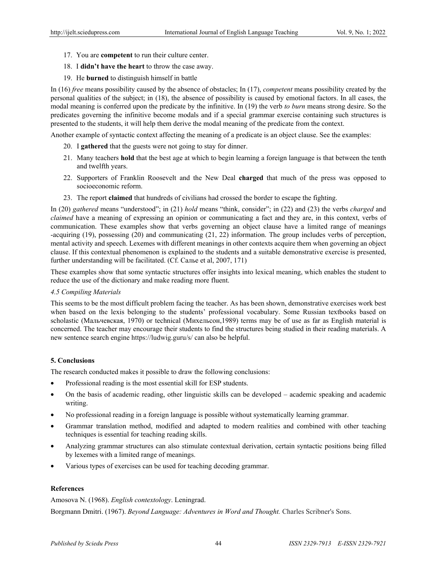- 17. You are **competent** to run their culture center.
- 18. I **didn't have the heart** to throw the case away.
- 19. He **burned** to distinguish himself in battle

In (16) *free* means possibility caused by the absence of obstacles; In (17), *competent* means possibility created by the personal qualities of the subject; in (18), the absence of possibility is caused by emotional factors. In all cases, the modal meaning is conferred upon the predicate by the infinitive. In (19) the verb *to burn* means strong desire. So the predicates governing the infinitive become modals and if a special grammar exercise containing such structures is presented to the students, it will help them derive the modal meaning of the predicate from the context.

Another example of syntactic context affecting the meaning of a predicate is an object clause. See the examples:

- 20. I **gathered** that the guests were not going to stay for dinner.
- 21. Many teachers **hold** that the best age at which to begin learning a foreign language is that between the tenth and twelfth years.
- 22. Supporters of Franklin Roosevelt and the New Deal **charged** that much of the press was opposed to socioeconomic reform.
- 23. The report **claimed** that hundreds of civilians had crossed the border to escape the fighting.

In (20) *gathered* means "understood"; in (21) *hold* means "think, consider"; in (22) and (23) the verbs *charged* and *claimed* have a meaning of expressing an opinion or communicating a fact and they are, in this context, verbs of communication. These examples show that verbs governing an object clause have a limited range of meanings -acquiring (19), possessing (20) and communicating (21, 22) information. The group includes verbs of perception, mental activity and speech. Lexemes with different meanings in other contexts acquire them when governing an object clause. If this contextual phenomenon is explained to the students and a suitable demonstrative exercise is presented, further understanding will be facilitated. (Cf. Салье et al, 2007, 171)

These examples show that some syntactic structures offer insights into lexical meaning, which enables the student to reduce the use of the dictionary and make reading more fluent.

## *4.5 Compiling Materials*

This seems to be the most difficult problem facing the teacher. As has been shown, demonstrative exercises work best when based on the lexis belonging to the students' professional vocabulary. Some Russian textbooks based on scholastic (Мальчевская, 1970) or technical (Михельсон,1989) terms may be of use as far as English material is concerned. The teacher may encourage their students to find the structures being studied in their reading materials. A new sentence search engine https://ludwig.guru/s/ can also be helpful.

## **5. Conclusions**

The research conducted makes it possible to draw the following conclusions:

- Professional reading is the most essential skill for ESP students.
- On the basis of academic reading, other linguistic skills can be developed academic speaking and academic writing.
- No professional reading in a foreign language is possible without systematically learning grammar.
- Grammar translation method, modified and adapted to modern realities and combined with other teaching techniques is essential for teaching reading skills.
- Analyzing grammar structures can also stimulate contextual derivation, certain syntactic positions being filled by lexemes with a limited range of meanings.
- Various types of exercises can be used for teaching decoding grammar.

# **References**

Amosova N. (1968). *English contextology*. Leningrad.

Borgmann Dmitri. (1967). *Beyond Language: Adventures in Word and Thought.* Charles Scribner's Sons.